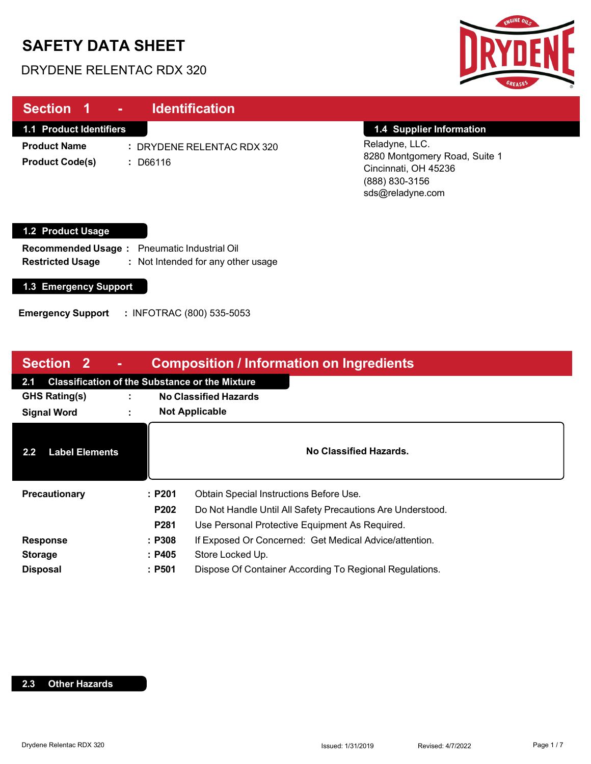# **SAFETY DATA SHEET**

### DRYDENE RELENTAC RDX 320



| Section 1<br><b>Identification</b><br>$\Delta \sim 100$                                                      |                                                                                                               |
|--------------------------------------------------------------------------------------------------------------|---------------------------------------------------------------------------------------------------------------|
| <b>1.1 Product Identifiers</b>                                                                               | 1.4 Supplier Information                                                                                      |
| <b>Product Name</b><br>: DRYDENE RELENTAC RDX 320<br><b>Product Code(s)</b><br>: D66116                      | Reladyne, LLC.<br>8280 Montgomery Road, Suite 1<br>Cincinnati, OH 45236<br>(888) 830-3156<br>sds@reladyne.com |
| 1.2 Product Usage                                                                                            |                                                                                                               |
| Recommended Usage: Pneumatic Industrial Oil<br><b>Restricted Usage</b><br>: Not Intended for any other usage |                                                                                                               |

**1.3 Emergency Support**

**Emergency Support :** INFOTRAC (800) 535-5053

| <b>Section 2</b>                                             |   |                  | <b>Composition / Information on Ingredients</b>            |
|--------------------------------------------------------------|---|------------------|------------------------------------------------------------|
| <b>Classification of the Substance or the Mixture</b><br>2.1 |   |                  |                                                            |
| <b>GHS Rating(s)</b>                                         |   |                  | <b>No Classified Hazards</b>                               |
| <b>Signal Word</b>                                           | ÷ |                  | <b>Not Applicable</b>                                      |
| <b>Label Elements</b><br>$2.2\phantom{0}$                    |   |                  | No Classified Hazards.                                     |
| Precautionary                                                |   | :P201            | Obtain Special Instructions Before Use.                    |
|                                                              |   | P202             | Do Not Handle Until All Safety Precautions Are Understood. |
|                                                              |   | P <sub>281</sub> | Use Personal Protective Equipment As Required.             |
| <b>Response</b>                                              |   | : P308           | If Exposed Or Concerned: Get Medical Advice/attention.     |
| <b>Storage</b>                                               |   | : P405           | Store Locked Up.                                           |
| <b>Disposal</b>                                              |   | : P501           | Dispose Of Container According To Regional Regulations.    |

#### **2.3 Other Hazards**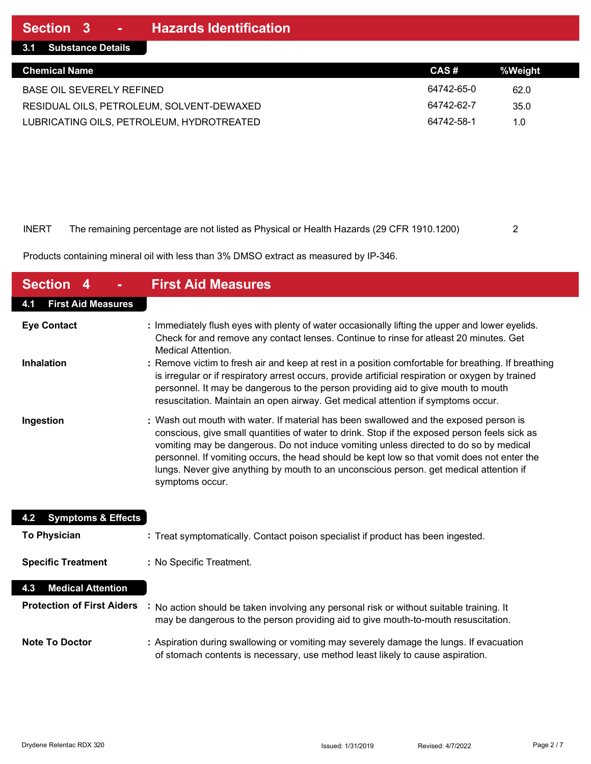| <b>Chemical Name</b>                      | CAS#       | %Weight |
|-------------------------------------------|------------|---------|
| BASE OIL SEVERELY REFINED                 | 64742-65-0 | 62.0    |
| RESIDUAL OILS, PETROLEUM, SOLVENT-DEWAXED | 64742-62-7 | 35.0    |
| LUBRICATING OILS, PETROLEUM, HYDROTREATED | 64742-58-1 | 1.0     |

#### INERT The remaining percentage are not listed as Physical or Health Hazards (29 CFR 1910.1200) 2

Products containing mineral oil with less than 3% DMSO extract as measured by IP-346.

| <b>Section 4</b>                     | <b>First Aid Measures</b>                                                                                                                                                                                                                                                                                                                                                                                                                                                                  |
|--------------------------------------|--------------------------------------------------------------------------------------------------------------------------------------------------------------------------------------------------------------------------------------------------------------------------------------------------------------------------------------------------------------------------------------------------------------------------------------------------------------------------------------------|
| <b>First Aid Measures</b><br>4.1     |                                                                                                                                                                                                                                                                                                                                                                                                                                                                                            |
| <b>Eye Contact</b>                   | : Immediately flush eyes with plenty of water occasionally lifting the upper and lower eyelids.<br>Check for and remove any contact lenses. Continue to rinse for atleast 20 minutes. Get<br><b>Medical Attention.</b>                                                                                                                                                                                                                                                                     |
| <b>Inhalation</b>                    | : Remove victim to fresh air and keep at rest in a position comfortable for breathing. If breathing<br>is irregular or if respiratory arrest occurs, provide artificial respiration or oxygen by trained<br>personnel. It may be dangerous to the person providing aid to give mouth to mouth<br>resuscitation. Maintain an open airway. Get medical attention if symptoms occur.                                                                                                          |
| Ingestion                            | : Wash out mouth with water. If material has been swallowed and the exposed person is<br>conscious, give small quantities of water to drink. Stop if the exposed person feels sick as<br>vomiting may be dangerous. Do not induce vomiting unless directed to do so by medical<br>personnel. If vomiting occurs, the head should be kept low so that vomit does not enter the<br>lungs. Never give anything by mouth to an unconscious person. get medical attention if<br>symptoms occur. |
| <b>Symptoms &amp; Effects</b><br>4.2 |                                                                                                                                                                                                                                                                                                                                                                                                                                                                                            |
| <b>To Physician</b>                  | : Treat symptomatically. Contact poison specialist if product has been ingested.                                                                                                                                                                                                                                                                                                                                                                                                           |
| <b>Specific Treatment</b>            | : No Specific Treatment.                                                                                                                                                                                                                                                                                                                                                                                                                                                                   |
| <b>Medical Attention</b><br>4.3      |                                                                                                                                                                                                                                                                                                                                                                                                                                                                                            |
| <b>Protection of First Aiders</b>    | No action should be taken involving any personal risk or without suitable training. It<br>may be dangerous to the person providing aid to give mouth-to-mouth resuscitation.                                                                                                                                                                                                                                                                                                               |
| <b>Note To Doctor</b>                | : Aspiration during swallowing or vomiting may severely damage the lungs. If evacuation<br>of stomach contents is necessary, use method least likely to cause aspiration.                                                                                                                                                                                                                                                                                                                  |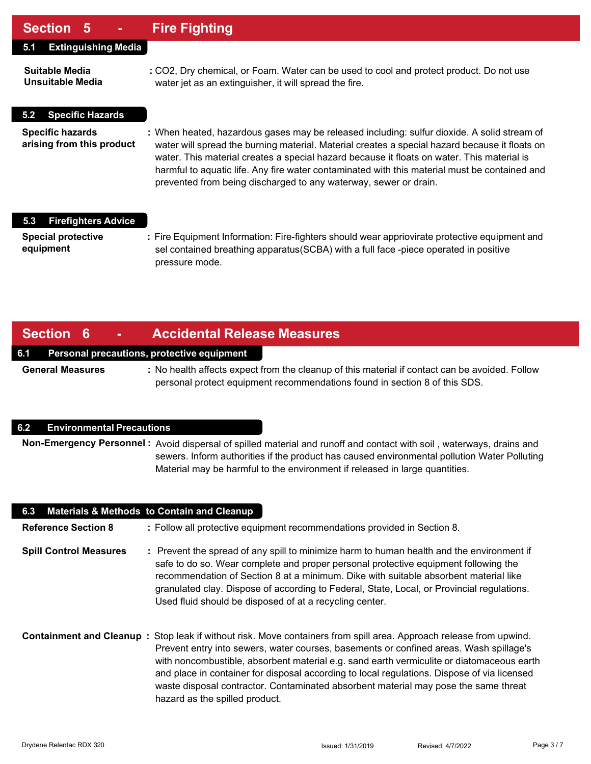### **Section 5 - Fire Fighting**

| <b>Extinguishing Media</b><br>5.1                    |                                                                                                                                                                                                                                                                                                                                                                                                                                                                  |
|------------------------------------------------------|------------------------------------------------------------------------------------------------------------------------------------------------------------------------------------------------------------------------------------------------------------------------------------------------------------------------------------------------------------------------------------------------------------------------------------------------------------------|
| Suitable Media<br><b>Unsuitable Media</b>            | : CO2, Dry chemical, or Foam. Water can be used to cool and protect product. Do not use<br>water jet as an extinguisher, it will spread the fire.                                                                                                                                                                                                                                                                                                                |
| <b>Specific Hazards</b><br>5.2                       |                                                                                                                                                                                                                                                                                                                                                                                                                                                                  |
| <b>Specific hazards</b><br>arising from this product | : When heated, hazardous gases may be released including: sulfur dioxide. A solid stream of<br>water will spread the burning material. Material creates a special hazard because it floats on<br>water. This material creates a special hazard because it floats on water. This material is<br>harmful to aquatic life. Any fire water contaminated with this material must be contained and<br>prevented from being discharged to any waterway, sewer or drain. |
| <b>Firefighters Advice</b><br>5.3                    |                                                                                                                                                                                                                                                                                                                                                                                                                                                                  |
| <b>Special protective</b><br>equipment               | : Fire Equipment Information: Fire-fighters should wear appriovirate protective equipment and<br>sel contained breathing apparatus (SCBA) with a full face -piece operated in positive<br>pressure mode.                                                                                                                                                                                                                                                         |

### **Section 6 - Accidental Release Measures**

#### **6.1 Personal precautions, protective equipment**

**General Measures :** No health affects expect from the cleanup of this material if contact can be avoided. Follow personal protect equipment recommendations found in section 8 of this SDS.

#### **6.2 Environmental Precautions**

**Non-Emergency Personnel :** Avoid dispersal of spilled material and runoff and contact with soil , waterways, drains and sewers. Inform authorities if the product has caused environmental pollution Water Polluting Material may be harmful to the environment if released in large quantities.

| 6.3                           | <b>Materials &amp; Methods to Contain and Cleanup</b>                                                                                                                                                                                                                                                                                                                                                                                                                                                                             |
|-------------------------------|-----------------------------------------------------------------------------------------------------------------------------------------------------------------------------------------------------------------------------------------------------------------------------------------------------------------------------------------------------------------------------------------------------------------------------------------------------------------------------------------------------------------------------------|
| <b>Reference Section 8</b>    | : Follow all protective equipment recommendations provided in Section 8.                                                                                                                                                                                                                                                                                                                                                                                                                                                          |
| <b>Spill Control Measures</b> | : Prevent the spread of any spill to minimize harm to human health and the environment if<br>safe to do so. Wear complete and proper personal protective equipment following the<br>recommendation of Section 8 at a minimum. Dike with suitable absorbent material like<br>granulated clay. Dispose of according to Federal, State, Local, or Provincial regulations.<br>Used fluid should be disposed of at a recycling center.                                                                                                 |
|                               | Containment and Cleanup: Stop leak if without risk. Move containers from spill area. Approach release from upwind.<br>Prevent entry into sewers, water courses, basements or confined areas. Wash spillage's<br>with noncombustible, absorbent material e.g. sand earth vermiculite or diatomaceous earth<br>and place in container for disposal according to local regulations. Dispose of via licensed<br>waste disposal contractor. Contaminated absorbent material may pose the same threat<br>hazard as the spilled product. |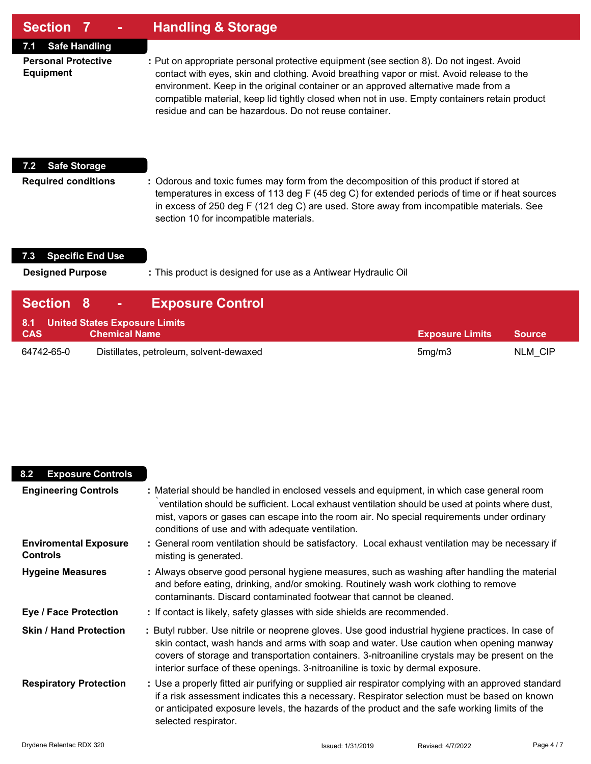| Section 7<br>$\blacksquare$                    | <b>Handling &amp; Storage</b>                                                                                                                                                                                                                                                                                                                                                                                                         |
|------------------------------------------------|---------------------------------------------------------------------------------------------------------------------------------------------------------------------------------------------------------------------------------------------------------------------------------------------------------------------------------------------------------------------------------------------------------------------------------------|
| <b>Safe Handling</b><br>7.1                    |                                                                                                                                                                                                                                                                                                                                                                                                                                       |
| <b>Personal Protective</b><br><b>Equipment</b> | : Put on appropriate personal protective equipment (see section 8). Do not ingest. Avoid<br>contact with eyes, skin and clothing. Avoid breathing vapor or mist. Avoid release to the<br>environment. Keep in the original container or an approved alternative made from a<br>compatible material, keep lid tightly closed when not in use. Empty containers retain product<br>residue and can be hazardous. Do not reuse container. |
| <b>Safe Storage</b><br>$7.2^{\circ}$           |                                                                                                                                                                                                                                                                                                                                                                                                                                       |
| <b>Required conditions</b>                     | : Odorous and toxic fumes may form from the decomposition of this product if stored at<br>temperatures in excess of 113 deg F (45 deg C) for extended periods of time or if heat sources<br>in excess of 250 deg F (121 deg C) are used. Store away from incompatible materials. See<br>section 10 for incompatible materials.                                                                                                        |

## **7.3 Specific End Use**

Г

**Designed Purpose :** This product is designed for use as a Antiwear Hydraulic Oil

| <b>Section 8</b>                                |                      | <b>Exposure Control</b>                 |                        |               |
|-------------------------------------------------|----------------------|-----------------------------------------|------------------------|---------------|
| 8.1 United States Exposure Limits<br><b>CAS</b> | <b>Chemical Name</b> |                                         | <b>Exposure Limits</b> | <b>Source</b> |
| 64742-65-0                                      |                      | Distillates, petroleum, solvent-dewaxed | 5mg/m3                 | NLM CIP       |

| <b>Exposure Controls</b><br>8.2                 |                                                                                                                                                                                                                                                                                                                                                                                  |
|-------------------------------------------------|----------------------------------------------------------------------------------------------------------------------------------------------------------------------------------------------------------------------------------------------------------------------------------------------------------------------------------------------------------------------------------|
| <b>Engineering Controls</b>                     | : Material should be handled in enclosed vessels and equipment, in which case general room<br>ventilation should be sufficient. Local exhaust ventilation should be used at points where dust,<br>mist, vapors or gases can escape into the room air. No special requirements under ordinary<br>conditions of use and with adequate ventilation.                                 |
| <b>Enviromental Exposure</b><br><b>Controls</b> | : General room ventilation should be satisfactory. Local exhaust ventilation may be necessary if<br>misting is generated.                                                                                                                                                                                                                                                        |
| <b>Hygeine Measures</b>                         | : Always observe good personal hygiene measures, such as washing after handling the material<br>and before eating, drinking, and/or smoking. Routinely wash work clothing to remove<br>contaminants. Discard contaminated footwear that cannot be cleaned.                                                                                                                       |
| <b>Eye / Face Protection</b>                    | : If contact is likely, safety glasses with side shields are recommended.                                                                                                                                                                                                                                                                                                        |
| <b>Skin / Hand Protection</b>                   | : Butyl rubber. Use nitrile or neoprene gloves. Use good industrial hygiene practices. In case of<br>skin contact, wash hands and arms with soap and water. Use caution when opening manway<br>covers of storage and transportation containers. 3-nitroaniline crystals may be present on the<br>interior surface of these openings. 3-nitroaniline is toxic by dermal exposure. |
| <b>Respiratory Protection</b>                   | : Use a properly fitted air purifying or supplied air respirator complying with an approved standard<br>if a risk assessment indicates this a necessary. Respirator selection must be based on known<br>or anticipated exposure levels, the hazards of the product and the safe working limits of the<br>selected respirator.                                                    |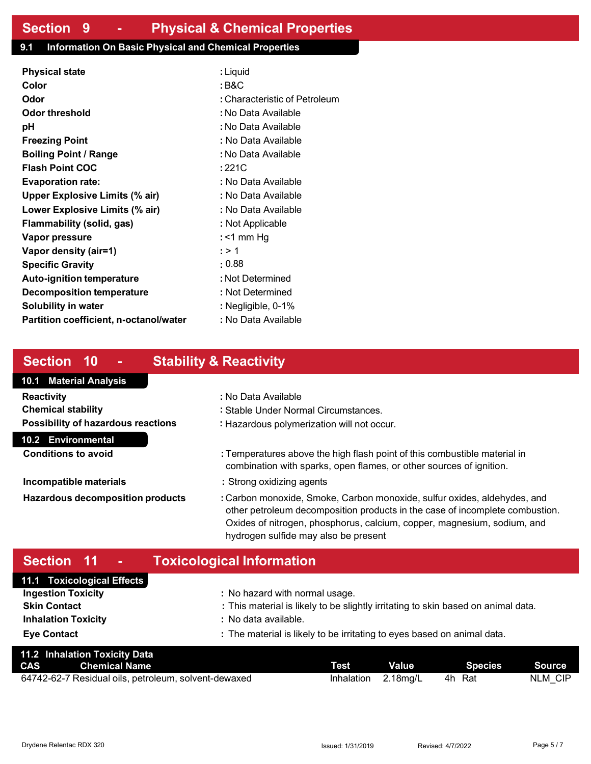#### **9.1 Information On Basic Physical and Chemical Properties**

| <b>Physical state</b>                  | : Liquid                      |
|----------------------------------------|-------------------------------|
| Color                                  | : B&C                         |
| Odor                                   | : Characteristic of Petroleum |
| Odor threshold                         | : No Data Available           |
| рH                                     | : No Data Available           |
| <b>Freezing Point</b>                  | : No Data Available           |
| <b>Boiling Point / Range</b>           | : No Data Available           |
| <b>Flash Point COC</b>                 | :221C                         |
| <b>Evaporation rate:</b>               | : No Data Available           |
| <b>Upper Explosive Limits (% air)</b>  | : No Data Available           |
| Lower Explosive Limits (% air)         | : No Data Available           |
| Flammability (solid, gas)              | : Not Applicable              |
| Vapor pressure                         | : $<$ 1 mm Hg                 |
| Vapor density (air=1)                  | : > 1                         |
| <b>Specific Gravity</b>                | : 0.88                        |
| <b>Auto-ignition temperature</b>       | : Not Determined              |
| Decomposition temperature              | : Not Determined              |
| <b>Solubility in water</b>             | : Negligible, 0-1%            |
| Partition coefficient, n-octanol/water | : No Data Available           |

## **Section 10 - Stability & Reactivity**

#### **10.1 Material Analysis**

| Reactivity                                |
|-------------------------------------------|
| <b>Chemical stability</b>                 |
| <b>Possibility of hazardous reactions</b> |

#### **10.2 Environmental**

**Conditions to avoid :** Temperatures above the high flash point of this combustible material in combination with sparks, open flames, or other sources of ignition.

**Incompatible materials :** Strong oxidizing agents

**Reactivity :** No Data Available

**Hazardous decomposition products :** Carbon monoxide, Smoke, Carbon monoxide, sulfur oxides, aldehydes, and other petroleum decomposition products in the case of incomplete combustion. Oxides of nitrogen, phosphorus, calcium, copper, magnesium, sodium, and hydrogen sulfide may also be present

## **Section 11 - Toxicological Information**

| 11.1 Toxicological Effects |                                                                                   |
|----------------------------|-----------------------------------------------------------------------------------|
| <b>Ingestion Toxicity</b>  | : No hazard with normal usage.                                                    |
| <b>Skin Contact</b>        | : This material is likely to be slightly irritating to skin based on animal data. |
| <b>Inhalation Toxicity</b> | : No data available.                                                              |
| <b>Eye Contact</b>         | : The material is likely to be irritating to eyes based on animal data.           |

**Chemical stability :** Stable Under Normal Circumstances. **Possibility of hazardous reactions :** Hazardous polymerization will not occur.

|            | 11.2 Inhalation Toxicity Data                        |             |              |                |         |
|------------|------------------------------------------------------|-------------|--------------|----------------|---------|
| <b>CAS</b> | <b>Chemical Name</b>                                 | <b>Test</b> | <b>Value</b> | <b>Species</b> | Source  |
|            | 64742-62-7 Residual oils, petroleum, solvent-dewaxed | Inhalation  | $2.18$ mg/L  | Rat<br>4h      | NLM CIP |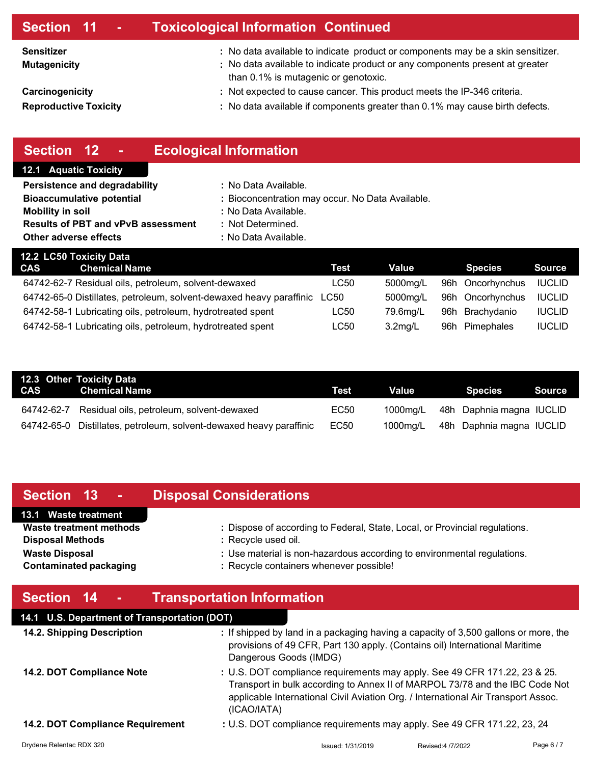### **Section 11 - Toxicological Information Continued**

**Sensitizer : Mutagenicity :** 

**Carcinogenicity :** 

**Reproductive Toxicity :** 

- No data available to indicate product or components may be a skin sensitizer.
- No data available to indicate product or any components present at greater than 0.1% is mutagenic or genotoxic.
	- Not expected to cause cancer. This product meets the IP-346 criteria.
	- No data available if components greater than 0.1% may cause birth defects.

## **Section 12 - Ecological Information**

#### **12.1 Aquatic Toxicity**

| Persistence and degradability             | : No Data Available.                             |
|-------------------------------------------|--------------------------------------------------|
| <b>Bioaccumulative potential</b>          | : Bioconcentration may occur. No Data Available. |
| <b>Mobility in soil</b>                   | : No Data Available.                             |
| <b>Results of PBT and vPvB assessment</b> | : Not Determined.                                |

**Other adverse effects** : No Data Available.

| 12.2 LC50 Toxicity Data |                                                                     |      |            |  |                  |               |
|-------------------------|---------------------------------------------------------------------|------|------------|--|------------------|---------------|
| CAS 1                   | <b>Chemical Name</b>                                                | Test | Value      |  | <b>Species</b>   | <b>Source</b> |
|                         | 64742-62-7 Residual oils, petroleum, solvent-dewaxed                | LC50 | 5000mg/L   |  | 96h Oncorhynchus | <b>IUCLID</b> |
|                         | 64742-65-0 Distillates, petroleum, solvent-dewaxed heavy paraffinic | LC50 | 5000mg/L   |  | 96h Oncorhynchus | <b>IUCLID</b> |
|                         | 64742-58-1 Lubricating oils, petroleum, hydrotreated spent          | LC50 | 79.6ma/L   |  | 96h Brachydanio  | <b>IUCLID</b> |
|                         | 64742-58-1 Lubricating oils, petroleum, hydrotreated spent          | LC50 | $3.2$ mg/L |  | 96h Pimephales   | <b>IUCLID</b> |

|            | 12.3 Other Toxicity Data<br>CAS Chemical Name                       | Test | Value    | Species <b>I</b>         | Source |
|------------|---------------------------------------------------------------------|------|----------|--------------------------|--------|
| 64742-62-7 | Residual oils, petroleum, solvent-dewaxed                           | EC50 | 1000ma/L | 48h Daphnia magna IUCLID |        |
|            | 64742-65-0 Distillates, petroleum, solvent-dewaxed heavy paraffinic | EC50 | 1000mg/L | 48h Daphnia magna IUCLID |        |

## **Section 13 - Disposal Considerations**

#### **13.1 Waste treatment**

**Disposal Methods :** Recycle used oil.

- **Waste treatment methods :** Dispose of according to Federal, State, Local, or Provincial regulations. **Waste Disposal <b>Waste** Disposal **intervalled in the US** is non-hazardous according to environmental regulations.
- **Contaminated packaging <b>bi Recycle containers whenever possible!**

## **Section 14 - Transportation Information**

## **14.1 U.S. Department of Transportation (DOT)**

| 14.2. Shipping Description       | : If shipped by land in a packaging having a capacity of 3,500 gallons or more, the<br>provisions of 49 CFR, Part 130 apply. (Contains oil) International Maritime<br>Dangerous Goods (IMDG)                                                                  |
|----------------------------------|---------------------------------------------------------------------------------------------------------------------------------------------------------------------------------------------------------------------------------------------------------------|
| 14.2. DOT Compliance Note        | : U.S. DOT compliance requirements may apply. See 49 CFR 171.22, 23 & 25.<br>Transport in bulk according to Annex II of MARPOL 73/78 and the IBC Code Not<br>applicable International Civil Aviation Org. / International Air Transport Assoc.<br>(ICAO/IATA) |
| 14.2. DOT Compliance Requirement | : U.S. DOT compliance requirements may apply. See 49 CFR 171.22, 23, 24                                                                                                                                                                                       |